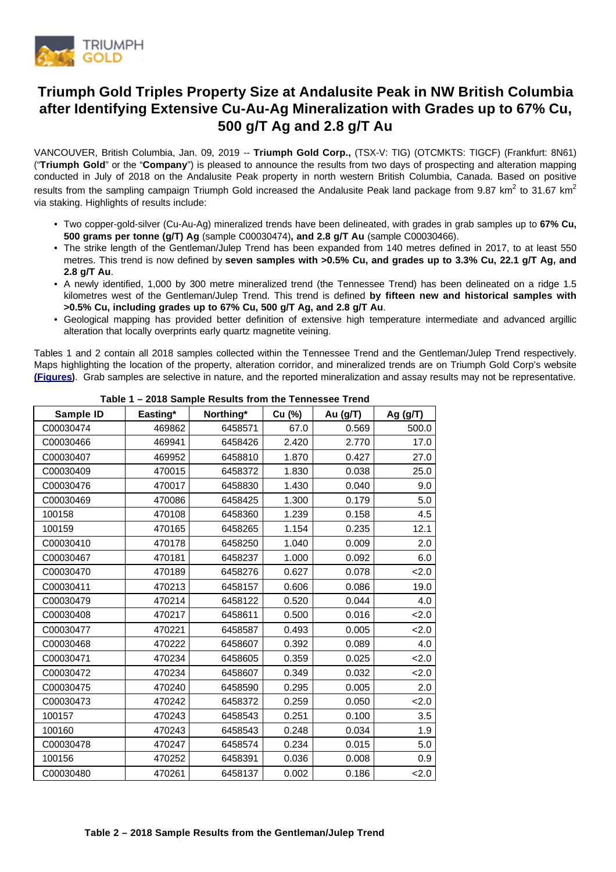

# **Triumph Gold Triples Property Size at Andalusite Peak in NW British Columbia after Identifying Extensive Cu-Au-Ag Mineralization with Grades up to 67% Cu, 500 g/T Ag and 2.8 g/T Au**

VANCOUVER, British Columbia, Jan. 09, 2019 -- **Triumph Gold Corp.,** (TSX-V: TIG) (OTCMKTS: TIGCF) (Frankfurt: 8N61) ("**Triumph Gold**" or the "**Company**") is pleased to announce the results from two days of prospecting and alteration mapping conducted in July of 2018 on the Andalusite Peak property in north western British Columbia, Canada. Based on positive results from the sampling campaign Triumph Gold increased the Andalusite Peak land package from 9.87 km<sup>2</sup> to 31.67 km<sup>2</sup> via staking. Highlights of results include:

- Two copper-gold-silver (Cu-Au-Ag) mineralized trends have been delineated, with grades in grab samples up to **67% Cu, 500 grams per tonne (g/T) Ag** (sample C00030474)**, and 2.8 g/T Au** (sample C00030466).
- The strike length of the Gentleman/Julep Trend has been expanded from 140 metres defined in 2017, to at least 550 metres. This trend is now defined by **seven samples with >0.5% Cu, and grades up to 3.3% Cu, 22.1 g/T Ag, and 2.8 g/T Au**.
- A newly identified, 1,000 by 300 metre mineralized trend (the Tennessee Trend) has been delineated on a ridge 1.5 kilometres west of the Gentleman/Julep Trend. This trend is defined **by fifteen new and historical samples with >0.5% Cu, including grades up to 67% Cu, 500 g/T Ag, and 2.8 g/T Au**.
- Geological mapping has provided better definition of extensive high temperature intermediate and advanced argillic alteration that locally overprints early quartz magnetite veining.

Tables 1 and 2 contain all 2018 samples collected within the Tennessee Trend and the Gentleman/Julep Trend respectively. Maps highlighting the location of the property, alteration corridor, and mineralized trends are on Triumph Gold Corp's website **[\(Figures\)](https://www.triumphgoldcorp.com/wp-content/uploads/PR19-01-AndalusitePeakMaps.pdf)**. Grab samples are selective in nature, and the reported mineralization and assay results may not be representative.

|           | $\frac{1}{2}$ and $\frac{1}{2}$ and $\frac{1}{2}$ and $\frac{1}{2}$ is the same in the state of $\frac{1}{2}$ is the set of $\frac{1}{2}$ |           |        |          |            |  |  |  |
|-----------|-------------------------------------------------------------------------------------------------------------------------------------------|-----------|--------|----------|------------|--|--|--|
| Sample ID | Easting*                                                                                                                                  | Northing* | Cu (%) | Au (g/T) | Ag $(g/T)$ |  |  |  |
| C00030474 | 469862                                                                                                                                    | 6458571   | 67.0   | 0.569    | 500.0      |  |  |  |
| C00030466 | 469941                                                                                                                                    | 6458426   | 2.420  | 2.770    | 17.0       |  |  |  |
| C00030407 | 469952                                                                                                                                    | 6458810   | 1.870  | 0.427    | 27.0       |  |  |  |
| C00030409 | 470015                                                                                                                                    | 6458372   | 1.830  | 0.038    | 25.0       |  |  |  |
| C00030476 | 470017                                                                                                                                    | 6458830   | 1.430  | 0.040    | 9.0        |  |  |  |
| C00030469 | 470086                                                                                                                                    | 6458425   | 1.300  | 0.179    | 5.0        |  |  |  |
| 100158    | 470108                                                                                                                                    | 6458360   | 1.239  | 0.158    | 4.5        |  |  |  |
| 100159    | 470165                                                                                                                                    | 6458265   | 1.154  | 0.235    | 12.1       |  |  |  |
| C00030410 | 470178                                                                                                                                    | 6458250   | 1.040  | 0.009    | 2.0        |  |  |  |
| C00030467 | 470181                                                                                                                                    | 6458237   | 1.000  | 0.092    | 6.0        |  |  |  |
| C00030470 | 470189                                                                                                                                    | 6458276   | 0.627  | 0.078    | 2.0        |  |  |  |
| C00030411 | 470213                                                                                                                                    | 6458157   | 0.606  | 0.086    | 19.0       |  |  |  |
| C00030479 | 470214                                                                                                                                    | 6458122   | 0.520  | 0.044    | 4.0        |  |  |  |
| C00030408 | 470217                                                                                                                                    | 6458611   | 0.500  | 0.016    | 2.0        |  |  |  |
| C00030477 | 470221                                                                                                                                    | 6458587   | 0.493  | 0.005    | 2.0        |  |  |  |
| C00030468 | 470222                                                                                                                                    | 6458607   | 0.392  | 0.089    | 4.0        |  |  |  |
| C00030471 | 470234                                                                                                                                    | 6458605   | 0.359  | 0.025    | 2.0        |  |  |  |
| C00030472 | 470234                                                                                                                                    | 6458607   | 0.349  | 0.032    | 2.0        |  |  |  |
| C00030475 | 470240                                                                                                                                    | 6458590   | 0.295  | 0.005    | 2.0        |  |  |  |
| C00030473 | 470242                                                                                                                                    | 6458372   | 0.259  | 0.050    | 2.0        |  |  |  |
| 100157    | 470243                                                                                                                                    | 6458543   | 0.251  | 0.100    | 3.5        |  |  |  |
| 100160    | 470243                                                                                                                                    | 6458543   | 0.248  | 0.034    | 1.9        |  |  |  |
| C00030478 | 470247                                                                                                                                    | 6458574   | 0.234  | 0.015    | 5.0        |  |  |  |
| 100156    | 470252                                                                                                                                    | 6458391   | 0.036  | 0.008    | 0.9        |  |  |  |
| C00030480 | 470261                                                                                                                                    | 6458137   | 0.002  | 0.186    | 2.0        |  |  |  |

**Table 1 – 2018 Sample Results from the Tennessee Trend**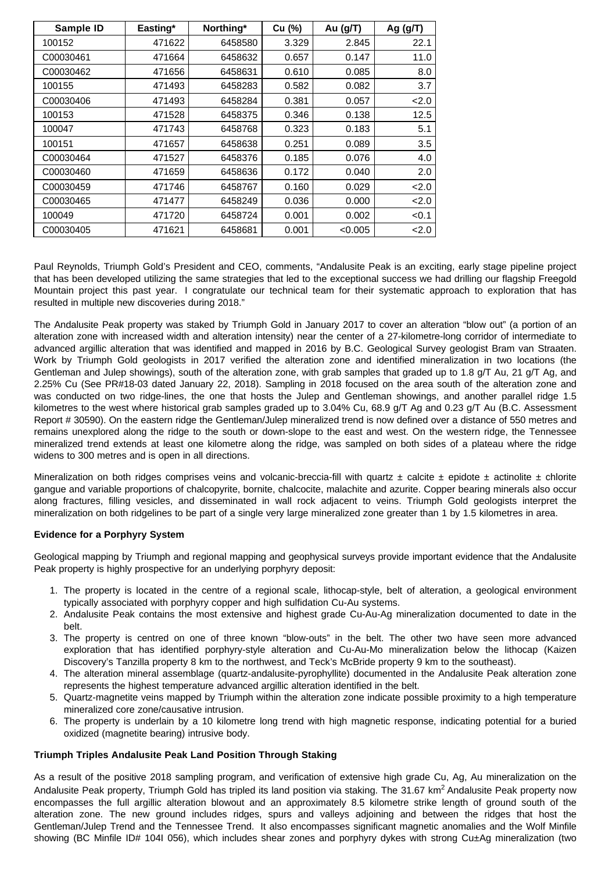| Sample ID | Easting* | Northing* | Cu (%) | Au (g/T) | Ag $(g/T)$ |
|-----------|----------|-----------|--------|----------|------------|
| 100152    | 471622   | 6458580   | 3.329  | 2.845    | 22.1       |
| C00030461 | 471664   | 6458632   | 0.657  | 0.147    | 11.0       |
| C00030462 | 471656   | 6458631   | 0.610  | 0.085    | 8.0        |
| 100155    | 471493   | 6458283   | 0.582  | 0.082    | 3.7        |
| C00030406 | 471493   | 6458284   | 0.381  | 0.057    | 2.0        |
| 100153    | 471528   | 6458375   | 0.346  | 0.138    | 12.5       |
| 100047    | 471743   | 6458768   | 0.323  | 0.183    | 5.1        |
| 100151    | 471657   | 6458638   | 0.251  | 0.089    | 3.5        |
| C00030464 | 471527   | 6458376   | 0.185  | 0.076    | 4.0        |
| C00030460 | 471659   | 6458636   | 0.172  | 0.040    | 2.0        |
| C00030459 | 471746   | 6458767   | 0.160  | 0.029    | 2.0        |
| C00030465 | 471477   | 6458249   | 0.036  | 0.000    | 2.0        |
| 100049    | 471720   | 6458724   | 0.001  | 0.002    | < 0.1      |
| C00030405 | 471621   | 6458681   | 0.001  | < 0.005  | 2.0        |

Paul Reynolds, Triumph Gold's President and CEO, comments, "Andalusite Peak is an exciting, early stage pipeline project that has been developed utilizing the same strategies that led to the exceptional success we had drilling our flagship Freegold Mountain project this past year. I congratulate our technical team for their systematic approach to exploration that has resulted in multiple new discoveries during 2018."

The Andalusite Peak property was staked by Triumph Gold in January 2017 to cover an alteration "blow out" (a portion of an alteration zone with increased width and alteration intensity) near the center of a 27-kilometre-long corridor of intermediate to advanced argillic alteration that was identified and mapped in 2016 by B.C. Geological Survey geologist Bram van Straaten. Work by Triumph Gold geologists in 2017 verified the alteration zone and identified mineralization in two locations (the Gentleman and Julep showings), south of the alteration zone, with grab samples that graded up to 1.8 g/T Au, 21 g/T Ag, and 2.25% Cu (See PR#18-03 dated January 22, 2018). Sampling in 2018 focused on the area south of the alteration zone and was conducted on two ridge-lines, the one that hosts the Julep and Gentleman showings, and another parallel ridge 1.5 kilometres to the west where historical grab samples graded up to 3.04% Cu, 68.9 g/T Ag and 0.23 g/T Au (B.C. Assessment Report # 30590). On the eastern ridge the Gentleman/Julep mineralized trend is now defined over a distance of 550 metres and remains unexplored along the ridge to the south or down-slope to the east and west. On the western ridge, the Tennessee mineralized trend extends at least one kilometre along the ridge, was sampled on both sides of a plateau where the ridge widens to 300 metres and is open in all directions.

Mineralization on both ridges comprises veins and volcanic-breccia-fill with quartz  $\pm$  calcite  $\pm$  epidote  $\pm$  actinolite  $\pm$  chlorite gangue and variable proportions of chalcopyrite, bornite, chalcocite, malachite and azurite. Copper bearing minerals also occur along fractures, filling vesicles, and disseminated in wall rock adjacent to veins. Triumph Gold geologists interpret the mineralization on both ridgelines to be part of a single very large mineralized zone greater than 1 by 1.5 kilometres in area.

# **Evidence for a Porphyry System**

Geological mapping by Triumph and regional mapping and geophysical surveys provide important evidence that the Andalusite Peak property is highly prospective for an underlying porphyry deposit:

- 1. The property is located in the centre of a regional scale, lithocap-style, belt of alteration, a geological environment typically associated with porphyry copper and high sulfidation Cu-Au systems.
- 2. Andalusite Peak contains the most extensive and highest grade Cu-Au-Ag mineralization documented to date in the belt.
- 3. The property is centred on one of three known "blow-outs" in the belt. The other two have seen more advanced exploration that has identified porphyry-style alteration and Cu-Au-Mo mineralization below the lithocap (Kaizen Discovery's Tanzilla property 8 km to the northwest, and Teck's McBride property 9 km to the southeast).
- 4. The alteration mineral assemblage (quartz-andalusite-pyrophyllite) documented in the Andalusite Peak alteration zone represents the highest temperature advanced argillic alteration identified in the belt.
- 5. Quartz-magnetite veins mapped by Triumph within the alteration zone indicate possible proximity to a high temperature mineralized core zone/causative intrusion.
- 6. The property is underlain by a 10 kilometre long trend with high magnetic response, indicating potential for a buried oxidized (magnetite bearing) intrusive body.

# **Triumph Triples Andalusite Peak Land Position Through Staking**

As a result of the positive 2018 sampling program, and verification of extensive high grade Cu, Ag, Au mineralization on the Andalusite Peak property. Triumph Gold has tripled its land position via staking. The 31.67 km<sup>2</sup> Andalusite Peak property now encompasses the full argillic alteration blowout and an approximately 8.5 kilometre strike length of ground south of the alteration zone. The new ground includes ridges, spurs and valleys adjoining and between the ridges that host the Gentleman/Julep Trend and the Tennessee Trend. It also encompasses significant magnetic anomalies and the Wolf Minfile showing (BC Minfile ID# 104I 056), which includes shear zones and porphyry dykes with strong Cu±Ag mineralization (two